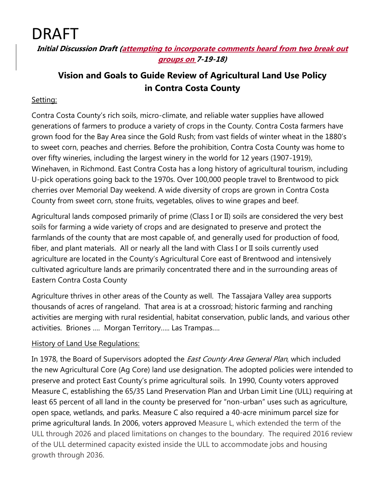DRAFT

**Initial Discussion Draft (attempting to incorporate comments heard from two break out groups on 7-19-18)**

## **Vision and Goals to Guide Review of Agricultural Land Use Policy in Contra Costa County**

#### Setting:

Contra Costa County's rich soils, micro-climate, and reliable water supplies have allowed generations of farmers to produce a variety of crops in the County. Contra Costa farmers have grown food for the Bay Area since the Gold Rush; from vast fields of winter wheat in the 1880's to sweet corn, peaches and cherries. Before the prohibition, Contra Costa County was home to over fifty wineries, including the largest winery in the world for 12 years (1907-1919), Winehaven, in Richmond. East Contra Costa has a long history of agricultural tourism, including U-pick operations going back to the 1970s. Over 100,000 people travel to Brentwood to pick cherries over Memorial Day weekend. A wide diversity of crops are grown in Contra Costa County from sweet corn, stone fruits, vegetables, olives to wine grapes and beef.

Agricultural lands composed primarily of prime (Class I or II) soils are considered the very best soils for farming a wide variety of crops and are designated to preserve and protect the farmlands of the county that are most capable of, and generally used for production of food, fiber, and plant materials. All or nearly all the land with Class I or II soils currently used agriculture are located in the County's Agricultural Core east of Brentwood and intensively cultivated agriculture lands are primarily concentrated there and in the surrounding areas of Eastern Contra Costa County

Agriculture thrives in other areas of the County as well. The Tassajara Valley area supports thousands of acres of rangeland. That area is at a crossroad; historic farming and ranching activities are merging with rural residential, habitat conservation, public lands, and various other activities. Briones …. Morgan Territory….. Las Trampas….

#### History of Land Use Regulations:

In 1978, the Board of Supervisors adopted the *East County Area General Plan*, which included the new Agricultural Core (Ag Core) land use designation. The adopted policies were intended to preserve and protect East County's prime agricultural soils. In 1990, County voters approved Measure C, establishing the 65/35 Land Preservation Plan and Urban Limit Line (ULL) requiring at least 65 percent of all land in the county be preserved for "non-urban" uses such as agriculture, open space, wetlands, and parks. Measure C also required a 40-acre minimum parcel size for prime agricultural lands. In 2006, voters approved Measure L, which extended the term of the ULL through 2026 and placed limitations on changes to the boundary. The required 2016 review of the ULL determined capacity existed inside the ULL to accommodate jobs and housing growth through 2036.